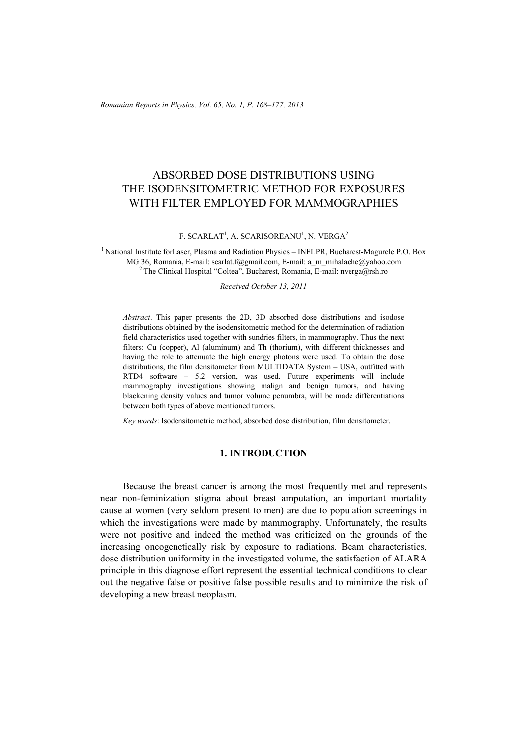*Romanian Reports in Physics, Vol. 65, No. 1, P. 168–177, 2013*

# ABSORBED DOSE DISTRIBUTIONS USING THE ISODENSITOMETRIC METHOD FOR EXPOSURES WITH FILTER EMPLOYED FOR MAMMOGRAPHIES

F. SCARLAT<sup>1</sup>, A. SCARISOREANU<sup>1</sup>, N. VERGA<sup>2</sup>

<sup>1</sup> National Institute forLaser, Plasma and Radiation Physics – INFLPR, Bucharest-Magurele P.O. Box MG 36, Romania, E-mail: scarlat.f@gmail.com, E-mail: a\_m\_mihalache@yahoo.com 2 The Clinical Hospital "Coltea", Bucharest, Romania, E-mail: nverga@rsh.ro

*Received October 13, 2011* 

*Abstract*. This paper presents the 2D, 3D absorbed dose distributions and isodose distributions obtained by the isodensitometric method for the determination of radiation field characteristics used together with sundries filters, in mammography. Thus the next filters: Cu (copper), Al (aluminum) and Th (thorium), with different thicknesses and having the role to attenuate the high energy photons were used. To obtain the dose distributions, the film densitometer from MULTIDATA System – USA, outfitted with RTD4 software – 5.2 version, was used. Future experiments will include mammography investigations showing malign and benign tumors, and having blackening density values and tumor volume penumbra, will be made differentiations between both types of above mentioned tumors.

*Key words*: Isodensitometric method, absorbed dose distribution, film densitometer.

# **1. INTRODUCTION**

Because the breast cancer is among the most frequently met and represents near non-feminization stigma about breast amputation, an important mortality cause at women (very seldom present to men) are due to population screenings in which the investigations were made by mammography. Unfortunately, the results were not positive and indeed the method was criticized on the grounds of the increasing oncogenetically risk by exposure to radiations. Beam characteristics, dose distribution uniformity in the investigated volume, the satisfaction of ALARA principle in this diagnose effort represent the essential technical conditions to clear out the negative false or positive false possible results and to minimize the risk of developing a new breast neoplasm.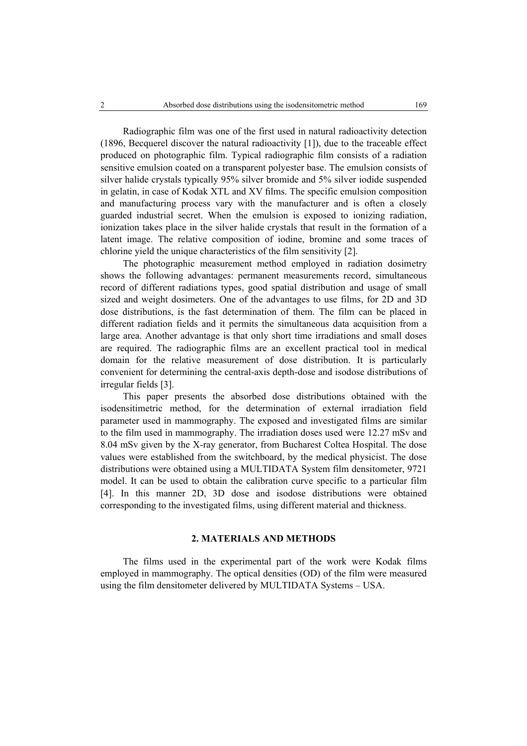Radiographic film was one of the first used in natural radioactivity detection (1896, Becquerel discover the natural radioactivity [1]), due to the traceable effect produced on photographic film. Typical radiographic film consists of a radiation sensitive emulsion coated on a transparent polyester base. The emulsion consists of silver halide crystals typically 95% silver bromide and 5% silver iodide suspended in gelatin, in case of Kodak XTL and XV films. The specific emulsion composition and manufacturing process vary with the manufacturer and is often a closely guarded industrial secret. When the emulsion is exposed to ionizing radiation, ionization takes place in the silver halide crystals that result in the formation of a latent image. The relative composition of iodine, bromine and some traces of chlorine yield the unique characteristics of the film sensitivity [2].

The photographic measurement method employed in radiation dosimetry shows the following advantages: permanent measurements record, simultaneous record of different radiations types, good spatial distribution and usage of small sized and weight dosimeters. One of the advantages to use films, for 2D and 3D dose distributions, is the fast determination of them. The film can be placed in different radiation fields and it permits the simultaneous data acquisition from a large area. Another advantage is that only short time irradiations and small doses are required. The radiographic films are an excellent practical tool in medical domain for the relative measurement of dose distribution. It is particularly convenient for determining the central-axis depth-dose and isodose distributions of irregular fields [3].

This paper presents the absorbed dose distributions obtained with the isodensitimetric method, for the determination of external irradiation field parameter used in mammography. The exposed and investigated films are similar to the film used in mammography. The irradiation doses used were 12.27 mSv and 8.04 mSv given by the X-ray generator, from Bucharest Coltea Hospital. The dose values were established from the switchboard, by the medical physicist. The dose distributions were obtained using a MULTIDATA System film densitometer, 9721 model. It can be used to obtain the calibration curve specific to a particular film [4]. In this manner 2D, 3D dose and isodose distributions were obtained corresponding to the investigated films, using different material and thickness.

### **2. MATERIALS AND METHODS**

The films used in the experimental part of the work were Kodak films employed in mammography. The optical densities (OD) of the film were measured using the film densitometer delivered by MULTIDATA Systems – USA.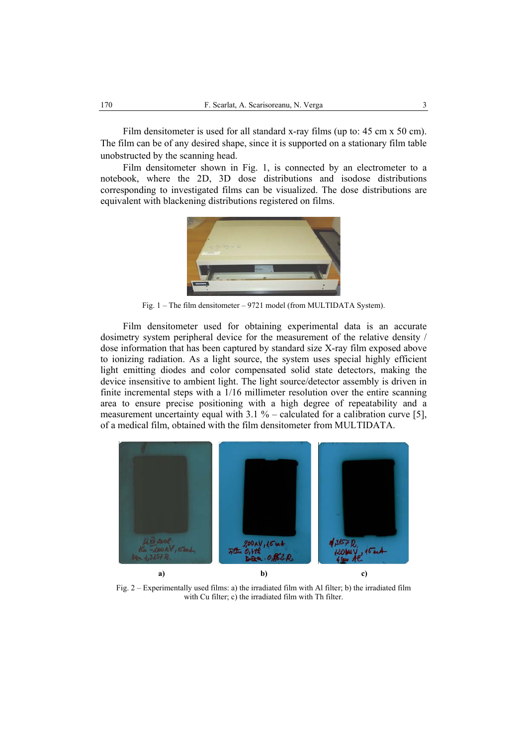Film densitometer is used for all standard x-ray films (up to: 45 cm x 50 cm). The film can be of any desired shape, since it is supported on a stationary film table unobstructed by the scanning head.

Film densitometer shown in Fig. 1, is connected by an electrometer to a notebook, where the 2D, 3D dose distributions and isodose distributions corresponding to investigated films can be visualized. The dose distributions are equivalent with blackening distributions registered on films.



Fig. 1 – The film densitometer – 9721 model (from MULTIDATA System).

Film densitometer used for obtaining experimental data is an accurate dosimetry system peripheral device for the measurement of the relative density / dose information that has been captured by standard size X-ray film exposed above to ionizing radiation. As a light source, the system uses special highly efficient light emitting diodes and color compensated solid state detectors, making the device insensitive to ambient light. The light source/detector assembly is driven in finite incremental steps with a 1/16 millimeter resolution over the entire scanning area to ensure precise positioning with a high degree of repeatability and a measurement uncertainty equal with  $3.1 \%$  – calculated for a calibration curve [5], of a medical film, obtained with the film densitometer from MULTIDATA.



Fig. 2 – Experimentally used films: a) the irradiated film with Al filter; b) the irradiated film with Cu filter; c) the irradiated film with Th filter.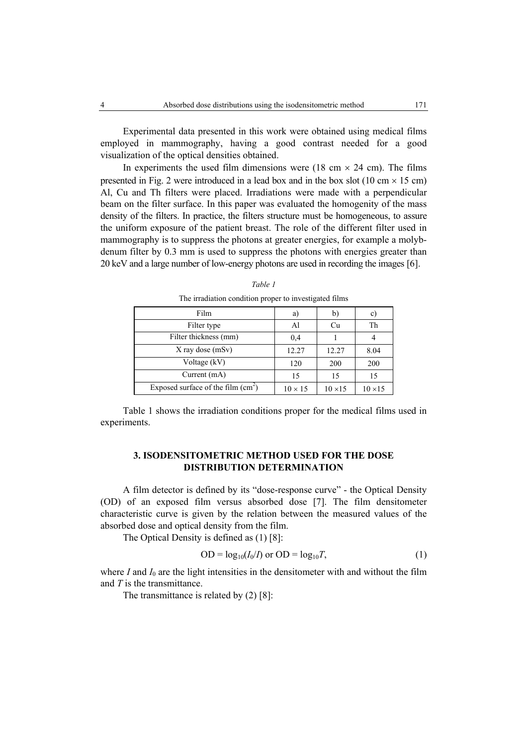Experimental data presented in this work were obtained using medical films employed in mammography, having a good contrast needed for a good visualization of the optical densities obtained.

In experiments the used film dimensions were (18 cm  $\times$  24 cm). The films presented in Fig. 2 were introduced in a lead box and in the box slot (10 cm  $\times$  15 cm) Al, Cu and Th filters were placed. Irradiations were made with a perpendicular beam on the filter surface. In this paper was evaluated the homogenity of the mass density of the filters. In practice, the filters structure must be homogeneous, to assure the uniform exposure of the patient breast. The role of the different filter used in mammography is to suppress the photons at greater energies, for example a molybdenum filter by 0.3 mm is used to suppress the photons with energies greater than 20 keV and a large number of low-energy photons are used in recording the images [6].

| Film                                | a)             | b)             | $\mathbf{C}$   |
|-------------------------------------|----------------|----------------|----------------|
| Filter type                         | Al             | Cu             | Th             |
| Filter thickness (mm)               | 0.4            |                |                |
| $X$ ray dose (mSv)                  | 12.27          | 12.27          | 8.04           |
| Voltage (kV)                        | 120            | 200            | 200            |
| Current $(mA)$                      | 15             | 15             | 15             |
| Exposed surface of the film $(cm2)$ | $10 \times 15$ | $10 \times 15$ | $10 \times 15$ |

*Table 1*  The irradiation condition proper to investigated films

Table 1 shows the irradiation conditions proper for the medical films used in experiments.

## **3. ISODENSITOMETRIC METHOD USED FOR THE DOSE DISTRIBUTION DETERMINATION**

A film detector is defined by its "dose-response curve" - the Optical Density (OD) of an exposed film versus absorbed dose [7]. The film densitometer characteristic curve is given by the relation between the measured values of the absorbed dose and optical density from the film.

The Optical Density is defined as (1) [8]:

$$
OD = log10(I0/I) or OD = log10T,
$$
\n(1)

where  $I$  and  $I_0$  are the light intensities in the densitometer with and without the film and *T* is the transmittance.

The transmittance is related by (2) [8]: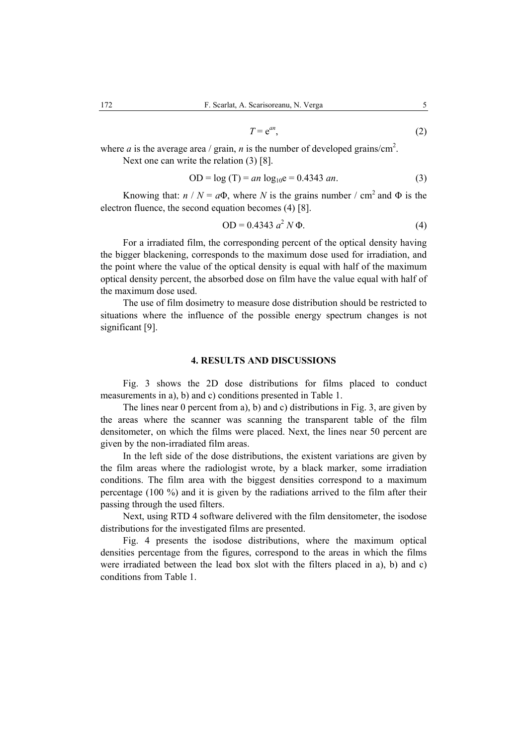$$
T = e^{an}, \tag{2}
$$

where *a* is the average area / grain, *n* is the number of developed grains/cm<sup>2</sup>. Next one can write the relation (3) [8].

$$
OD = log(T) = an log10e = 0.4343 \text{ an.}
$$
 (3)

Knowing that:  $n / N = a\Phi$ , where *N* is the grains number / cm<sup>2</sup> and  $\Phi$  is the electron fluence, the second equation becomes (4) [8].

$$
OD = 0.4343 a2 N \Phi.
$$
 (4)

For a irradiated film, the corresponding percent of the optical density having the bigger blackening, corresponds to the maximum dose used for irradiation, and the point where the value of the optical density is equal with half of the maximum optical density percent, the absorbed dose on film have the value equal with half of the maximum dose used.

The use of film dosimetry to measure dose distribution should be restricted to situations where the influence of the possible energy spectrum changes is not significant [9].

#### **4. RESULTS AND DISCUSSIONS**

Fig. 3 shows the 2D dose distributions for films placed to conduct measurements in a), b) and c) conditions presented in Table 1.

The lines near 0 percent from a), b) and c) distributions in Fig. 3, are given by the areas where the scanner was scanning the transparent table of the film densitometer, on which the films were placed. Next, the lines near 50 percent are given by the non-irradiated film areas.

In the left side of the dose distributions, the existent variations are given by the film areas where the radiologist wrote, by a black marker, some irradiation conditions. The film area with the biggest densities correspond to a maximum percentage (100 %) and it is given by the radiations arrived to the film after their passing through the used filters.

Next, using RTD 4 software delivered with the film densitometer, the isodose distributions for the investigated films are presented.

Fig. 4 presents the isodose distributions, where the maximum optical densities percentage from the figures, correspond to the areas in which the films were irradiated between the lead box slot with the filters placed in a), b) and c) conditions from Table 1.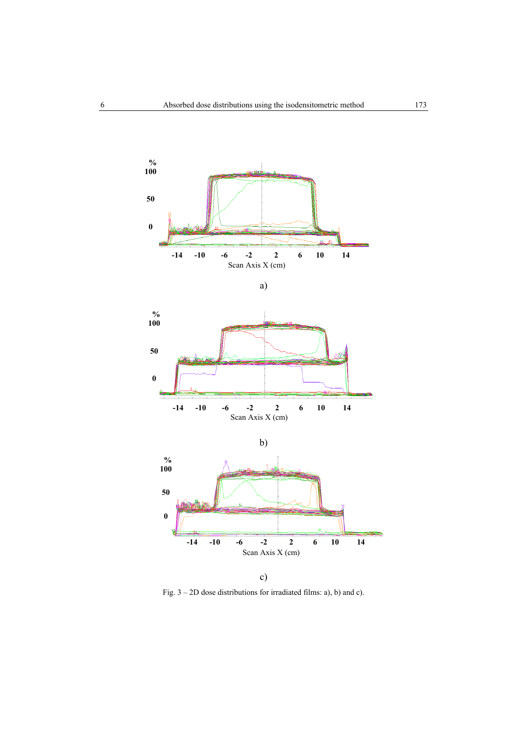

a)





c) Fig. 3 – 2D dose distributions for irradiated films: a), b) and c).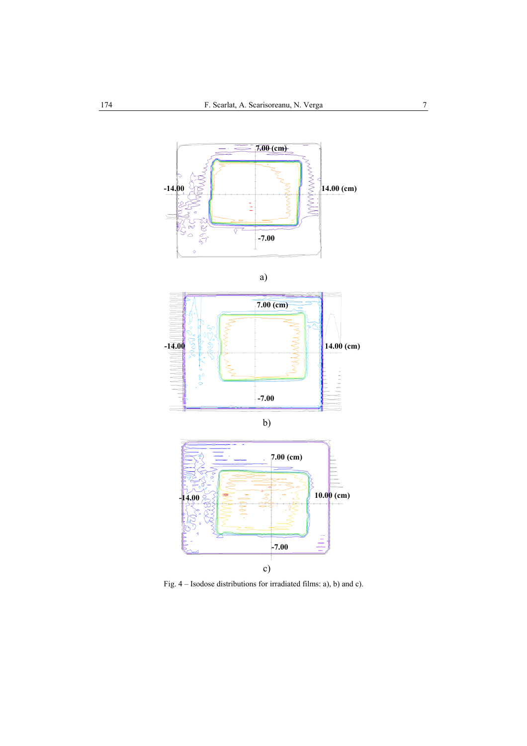

Fig. 4 – Isodose distributions for irradiated films: a), b) and c).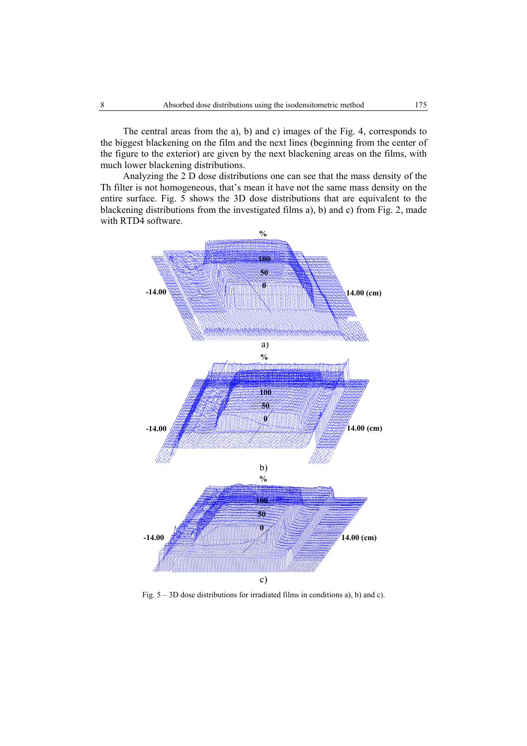The central areas from the a), b) and c) images of the Fig. 4, corresponds to the biggest blackening on the film and the next lines (beginning from the center of the figure to the exterior) are given by the next blackening areas on the films, with much lower blackening distributions.

Analyzing the 2 D dose distributions one can see that the mass density of the Th filter is not homogeneous, that's mean it have not the same mass density on the entire surface. Fig. 5 shows the 3D dose distributions that are equivalent to the blackening distributions from the investigated films a), b) and c) from Fig. 2, made with RTD4 software.



Fig. 5 – 3D dose distributions for irradiated films in conditions a), b) and c).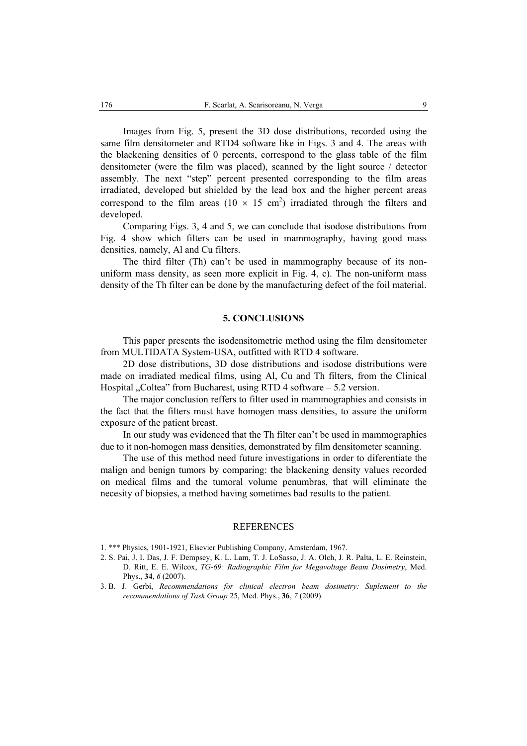Images from Fig. 5, present the 3D dose distributions, recorded using the same film densitometer and RTD4 software like in Figs. 3 and 4. The areas with the blackening densities of 0 percents, correspond to the glass table of the film densitometer (were the film was placed), scanned by the light source / detector assembly. The next "step" percent presented corresponding to the film areas irradiated, developed but shielded by the lead box and the higher percent areas correspond to the film areas ( $10 \times 15$  cm<sup>2</sup>) irradiated through the filters and developed.

Comparing Figs. 3, 4 and 5, we can conclude that isodose distributions from Fig. 4 show which filters can be used in mammography, having good mass densities, namely, Al and Cu filters.

The third filter (Th) can't be used in mammography because of its nonuniform mass density, as seen more explicit in Fig. 4, c). The non-uniform mass density of the Th filter can be done by the manufacturing defect of the foil material.

#### **5. CONCLUSIONS**

This paper presents the isodensitometric method using the film densitometer from MULTIDATA System-USA, outfitted with RTD 4 software.

2D dose distributions, 3D dose distributions and isodose distributions were made on irradiated medical films, using Al, Cu and Th filters, from the Clinical Hospital "Coltea" from Bucharest, using RTD 4 software  $-5.2$  version.

The major conclusion reffers to filter used in mammographies and consists in the fact that the filters must have homogen mass densities, to assure the uniform exposure of the patient breast.

In our study was evidenced that the Th filter can't be used in mammographies due to it non-homogen mass densities, demonstrated by film densitometer scanning.

The use of this method need future investigations in order to diferentiate the malign and benign tumors by comparing: the blackening density values recorded on medical films and the tumoral volume penumbras, that will eliminate the necesity of biopsies, a method having sometimes bad results to the patient.

#### REFERENCES

- 1. \*\*\* Physics, 1901-1921, Elsevier Publishing Company, Amsterdam, 1967.
- 2. S. Pai, J. I. Das, J. F. Dempsey, K. L. Lam, T. J. LoSasso, J. A. Olch, J. R. Palta, L. E. Reinstein, D. Ritt, E. E. Wilcox, *TG-69: Radiographic Film for Megavoltage Beam Dosimetry*, Med. Phys., **34**, *6* (2007).
- 3. B. J. Gerbi, *Recommendations for clinical electron beam dosimetry: Suplement to the recommendations of Task Group* 25, Med. Phys., **36**, *7* (2009).